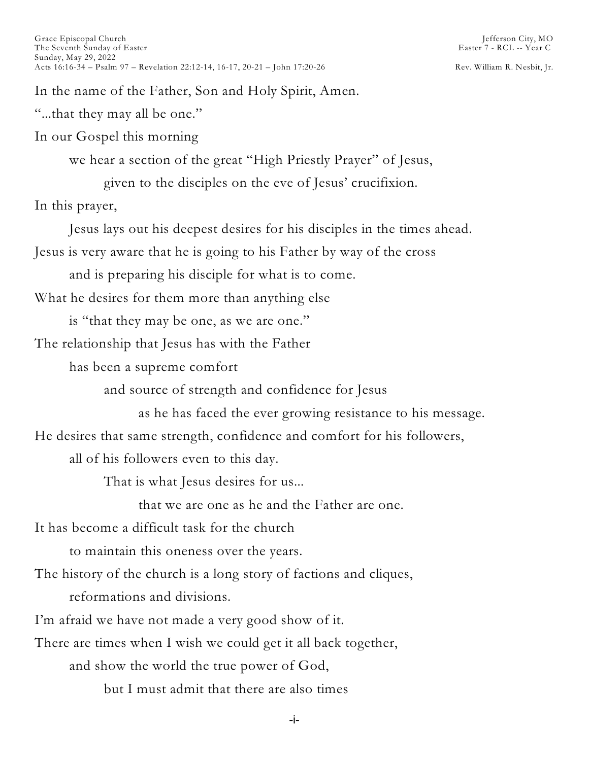In the name of the Father, Son and Holy Spirit, Amen.

"...that they may all be one."

In our Gospel this morning

we hear a section of the great "High Priestly Prayer" of Jesus,

given to the disciples on the eve of Jesus' crucifixion.

In this prayer,

Jesus lays out his deepest desires for his disciples in the times ahead.

Jesus is very aware that he is going to his Father by way of the cross

and is preparing his disciple for what is to come.

What he desires for them more than anything else

is "that they may be one, as we are one."

The relationship that Jesus has with the Father

has been a supreme comfort

and source of strength and confidence for Jesus

as he has faced the ever growing resistance to his message.

He desires that same strength, confidence and comfort for his followers,

all of his followers even to this day.

That is what Jesus desires for us...

that we are one as he and the Father are one.

It has become a difficult task for the church

to maintain this oneness over the years.

The history of the church is a long story of factions and cliques,

reformations and divisions.

I'm afraid we have not made a very good show of it.

There are times when I wish we could get it all back together,

and show the world the true power of God,

but I must admit that there are also times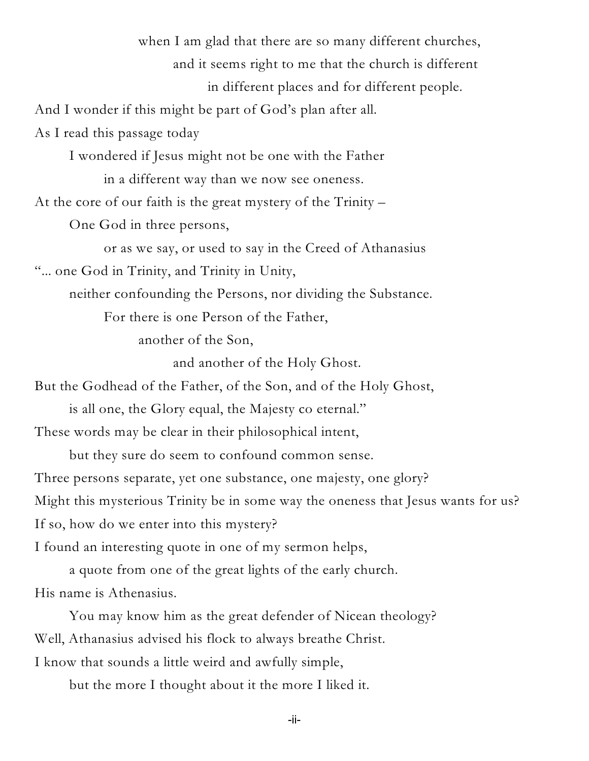when I am glad that there are so many different churches, and it seems right to me that the church is different

in different places and for different people.

And I wonder if this might be part of God's plan after all.

As I read this passage today

I wondered if Jesus might not be one with the Father

in a different way than we now see oneness.

At the core of our faith is the great mystery of the Trinity –

One God in three persons,

or as we say, or used to say in the Creed of Athanasius

"... one God in Trinity, and Trinity in Unity,

neither confounding the Persons, nor dividing the Substance.

For there is one Person of the Father,

another of the Son,

and another of the Holy Ghost.

But the Godhead of the Father, of the Son, and of the Holy Ghost,

is all one, the Glory equal, the Majesty co eternal."

These words may be clear in their philosophical intent,

but they sure do seem to confound common sense.

Three persons separate, yet one substance, one majesty, one glory?

Might this mysterious Trinity be in some way the oneness that Jesus wants for us?

If so, how do we enter into this mystery?

I found an interesting quote in one of my sermon helps,

a quote from one of the great lights of the early church. His name is Athenasius.

You may know him as the great defender of Nicean theology? Well, Athanasius advised his flock to always breathe Christ. I know that sounds a little weird and awfully simple,

but the more I thought about it the more I liked it.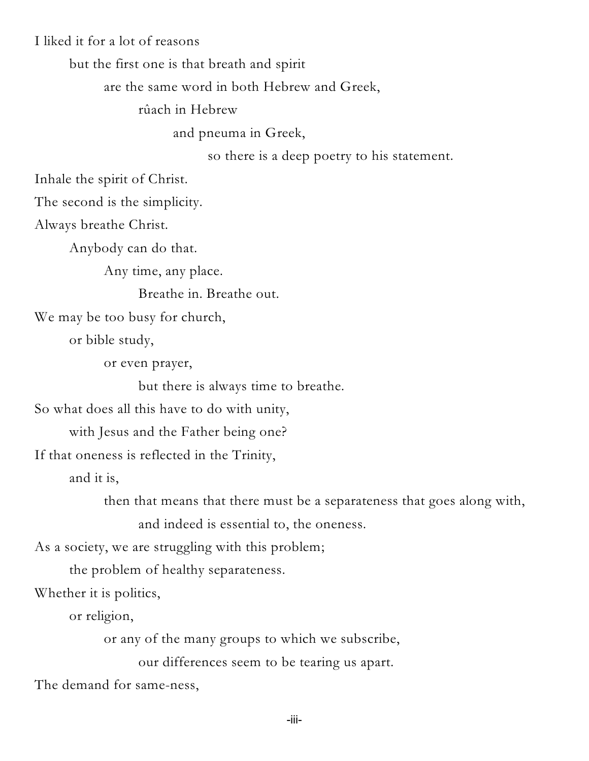I liked it for a lot of reasons

but the first one is that breath and spirit

are the same word in both Hebrew and Greek,

rûach in Hebrew

and pneuma in Greek,

so there is a deep poetry to his statement.

Inhale the spirit of Christ.

The second is the simplicity.

Always breathe Christ.

Anybody can do that.

Any time, any place.

Breathe in. Breathe out.

We may be too busy for church,

or bible study,

or even prayer,

but there is always time to breathe.

So what does all this have to do with unity,

with Jesus and the Father being one?

If that oneness is reflected in the Trinity,

and it is,

then that means that there must be a separateness that goes along with,

and indeed is essential to, the oneness.

As a society, we are struggling with this problem;

the problem of healthy separateness.

Whether it is politics,

or religion,

or any of the many groups to which we subscribe,

our differences seem to be tearing us apart.

The demand for same-ness,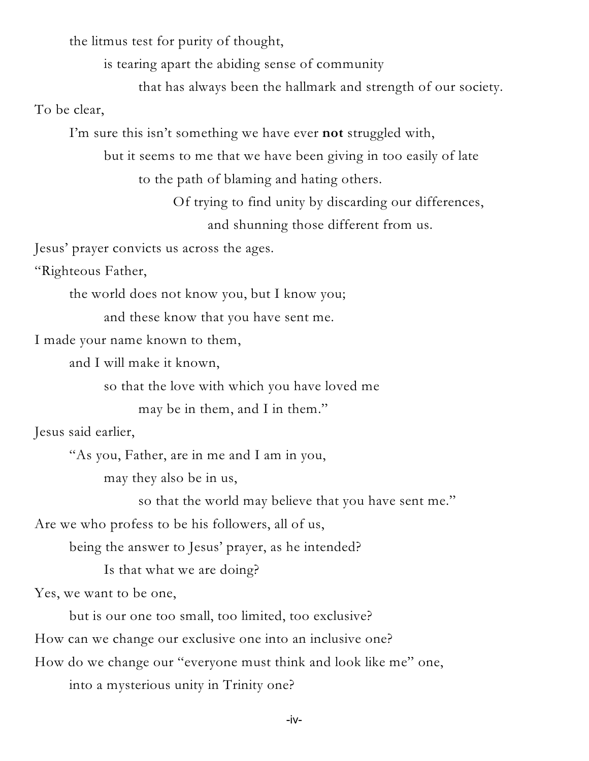the litmus test for purity of thought,

is tearing apart the abiding sense of community

that has always been the hallmark and strength of our society.

To be clear,

I'm sure this isn't something we have ever **not** struggled with,

but it seems to me that we have been giving in too easily of late to the path of blaming and hating others.

> Of trying to find unity by discarding our differences, and shunning those different from us.

Jesus' prayer convicts us across the ages.

"Righteous Father,

the world does not know you, but I know you;

and these know that you have sent me.

I made your name known to them,

and I will make it known,

so that the love with which you have loved me

may be in them, and I in them."

Jesus said earlier,

"As you, Father, are in me and I am in you,

may they also be in us,

so that the world may believe that you have sent me."

Are we who profess to be his followers, all of us,

being the answer to Jesus' prayer, as he intended?

Is that what we are doing?

Yes, we want to be one,

but is our one too small, too limited, too exclusive?

How can we change our exclusive one into an inclusive one?

How do we change our "everyone must think and look like me" one,

into a mysterious unity in Trinity one?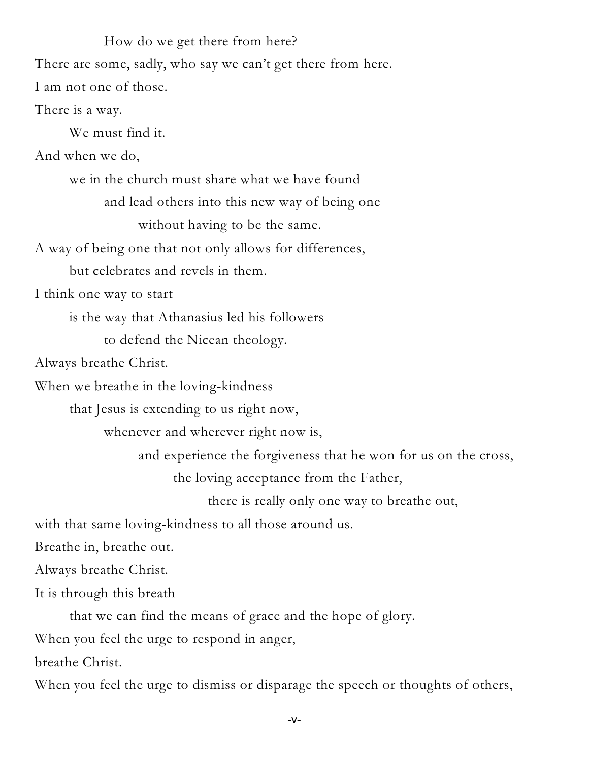How do we get there from here? There are some, sadly, who say we can't get there from here.

I am not one of those.

There is a way.

We must find it.

And when we do,

we in the church must share what we have found and lead others into this new way of being one without having to be the same.

A way of being one that not only allows for differences,

but celebrates and revels in them.

I think one way to start

is the way that Athanasius led his followers

to defend the Nicean theology.

Always breathe Christ.

When we breathe in the loving-kindness

that Jesus is extending to us right now,

whenever and wherever right now is,

and experience the forgiveness that he won for us on the cross,

the loving acceptance from the Father,

there is really only one way to breathe out,

with that same loving-kindness to all those around us.

Breathe in, breathe out.

Always breathe Christ.

It is through this breath

that we can find the means of grace and the hope of glory.

When you feel the urge to respond in anger,

breathe Christ.

When you feel the urge to dismiss or disparage the speech or thoughts of others,